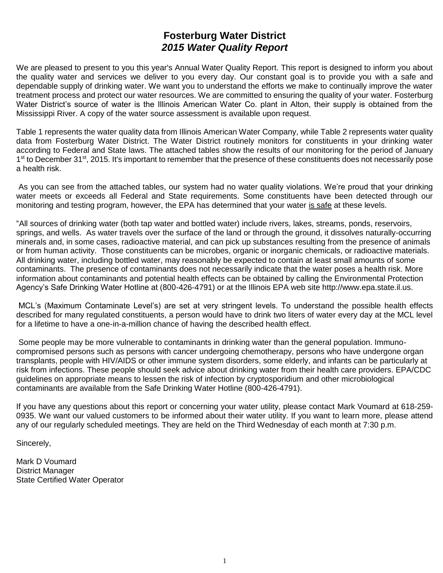# **Fosterburg Water District** *2015 Water Quality Report*

We are pleased to present to you this year's Annual Water Quality Report. This report is designed to inform you about the quality water and services we deliver to you every day. Our constant goal is to provide you with a safe and dependable supply of drinking water. We want you to understand the efforts we make to continually improve the water treatment process and protect our water resources. We are committed to ensuring the quality of your water. Fosterburg Water District's source of water is the Illinois American Water Co. plant in Alton, their supply is obtained from the Mississippi River. A copy of the water source assessment is available upon request.

Table 1 represents the water quality data from Illinois American Water Company, while Table 2 represents water quality data from Fosterburg Water District. The Water District routinely monitors for constituents in your drinking water according to Federal and State laws. The attached tables show the results of our monitoring for the period of January 1<sup>st</sup> to December 31<sup>st</sup>, 2015. It's important to remember that the presence of these constituents does not necessarily pose a health risk.

As you can see from the attached tables, our system had no water quality violations. We're proud that your drinking water meets or exceeds all Federal and State requirements. Some constituents have been detected through our monitoring and testing program, however, the EPA has determined that your water is safe at these levels.

"All sources of drinking water (both tap water and bottled water) include rivers, lakes, streams, ponds, reservoirs, springs, and wells. As water travels over the surface of the land or through the ground, it dissolves naturally-occurring minerals and, in some cases, radioactive material, and can pick up substances resulting from the presence of animals or from human activity. Those constituents can be microbes, organic or inorganic chemicals, or radioactive materials. All drinking water, including bottled water, may reasonably be expected to contain at least small amounts of some contaminants. The presence of contaminants does not necessarily indicate that the water poses a health risk. More information about contaminants and potential health effects can be obtained by calling the Environmental Protection Agency's Safe Drinking Water Hotline at (800-426-4791) or at the Illinois EPA web site http://www.epa.state.il.us.

MCL's (Maximum Contaminate Level's) are set at very stringent levels. To understand the possible health effects described for many regulated constituents, a person would have to drink two liters of water every day at the MCL level for a lifetime to have a one-in-a-million chance of having the described health effect.

Some people may be more vulnerable to contaminants in drinking water than the general population. Immunocompromised persons such as persons with cancer undergoing chemotherapy, persons who have undergone organ transplants, people with HIV/AIDS or other immune system disorders, some elderly, and infants can be particularly at risk from infections. These people should seek advice about drinking water from their health care providers. EPA/CDC guidelines on appropriate means to lessen the risk of infection by cryptosporidium and other microbiological contaminants are available from the Safe Drinking Water Hotline (800-426-4791).

If you have any questions about this report or concerning your water utility, please contact Mark Voumard at 618-259- 0935. We want our valued customers to be informed about their water utility. If you want to learn more, please attend any of our regularly scheduled meetings. They are held on the Third Wednesday of each month at 7:30 p.m.

Sincerely,

Mark D Voumard District Manager State Certified Water Operator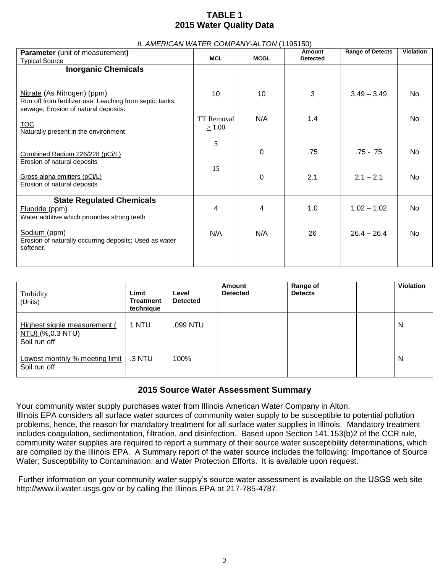## **TABLE 1 2015 Water Quality Data**

*IL AMERICAN WATER COMPANY-ALTON* (1195150)

| IL AMERICAN WATER COMPANY-ALTON (1195150)                                                        |                   |             |                 |                         |                  |
|--------------------------------------------------------------------------------------------------|-------------------|-------------|-----------------|-------------------------|------------------|
| <b>Parameter</b> (unit of measurement)                                                           |                   |             | <b>Amount</b>   | <b>Range of Detects</b> | <b>Violation</b> |
| <b>Typical Source</b>                                                                            | <b>MCL</b>        | <b>MCGL</b> | <b>Detected</b> |                         |                  |
| <b>Inorganic Chemicals</b>                                                                       |                   |             |                 |                         |                  |
|                                                                                                  |                   |             |                 |                         |                  |
| Nitrate (As Nitrogen) (ppm)                                                                      | 10                | 10          | 3               | $3.49 - 3.49$           | No               |
| Run off from fertilizer use; Leaching from septic tanks,<br>sewage; Erosion of natural deposits. |                   |             |                 |                         |                  |
|                                                                                                  | <b>TT Removal</b> | N/A         | 1.4             |                         | No               |
| <b>TOC</b><br>Naturally present in the environment                                               | $\geq 1.00$       |             |                 |                         |                  |
|                                                                                                  | 5                 |             |                 |                         |                  |
| Combined Radium 226/228 (pCi/L)                                                                  |                   | 0           | .75             | $.75 - .75$             | No               |
| Erosion of natural deposits                                                                      | 15                |             |                 |                         |                  |
| Gross alpha emitters (pCi/L)                                                                     |                   | 0           | 2.1             | $2.1 - 2.1$             | No               |
| Erosion of natural deposits                                                                      |                   |             |                 |                         |                  |
| <b>State Regulated Chemicals</b>                                                                 |                   |             |                 |                         |                  |
| Fluoride (ppm)                                                                                   | 4                 | 4           | 1.0             | $1.02 - 1.02$           | No               |
| Water additive which promotes strong teeth                                                       |                   |             |                 |                         |                  |
| Sodium (ppm)                                                                                     | N/A               | N/A         | 26              | $26.4 - 26.4$           | No               |
| Erosion of naturally occurring deposits; Used as water<br>softener.                              |                   |             |                 |                         |                  |
|                                                                                                  |                   |             |                 |                         |                  |
|                                                                                                  |                   |             |                 |                         |                  |

| Turbidity<br>(Units)                                             | Limit<br><b>Treatment</b><br>technique | Level<br><b>Detected</b> | Amount<br><b>Detected</b> | Range of<br><b>Detects</b> | <b>Violation</b> |
|------------------------------------------------------------------|----------------------------------------|--------------------------|---------------------------|----------------------------|------------------|
| Highest signle measurement (<br>NTU) (%,0.3 NTU)<br>Soil run off | 1 NTU                                  | .099 NTU                 |                           |                            | N                |
| Lowest monthly % meeting limit<br>Soil run off                   | .3 NTU                                 | 100%                     |                           |                            | N                |

### **2015 Source Water Assessment Summary**

Your community water supply purchases water from Illinois American Water Company in Alton. Illinois EPA considers all surface water sources of community water supply to be susceptible to potential pollution problems, hence, the reason for mandatory treatment for all surface water supplies in Illinois. Mandatory treatment includes coagulation, sedimentation, filtration, and disinfection. Based upon Section 141.153(b)2 of the CCR rule, community water supplies are required to report a summary of their source water susceptibility determinations, which are compiled by the Illinois EPA. A Summary report of the water source includes the following: Importance of Source Water; Susceptibility to Contamination; and Water Protection Efforts. It is available upon request.

Further information on your community water supply's source water assessment is available on the USGS web site http://www.il.water.usgs.gov or by calling the Illinois EPA at 217-785-4787.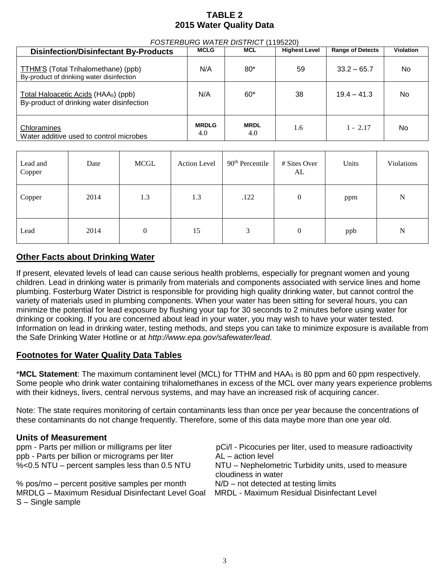## **TABLE 2 2015 Water Quality Data**

| <b>Disinfection/Disinfectant By-Products</b>                                                  | <b>MCLG</b>         | <b>MCL</b>         | <b>Highest Level</b> | <b>Range of Detects</b> | <b>Violation</b> |
|-----------------------------------------------------------------------------------------------|---------------------|--------------------|----------------------|-------------------------|------------------|
| TTHM'S (Total Trihalomethane) (ppb)<br>By-product of drinking water disinfection              | N/A                 | $80*$              | 59                   | $33.2 - 65.7$           | No               |
| Total Haloacetic Acids (HAA <sub>5</sub> ) (ppb)<br>By-product of drinking water disinfection | N/A                 | $60*$              | 38                   | $19.4 - 41.3$           | No.              |
| Chloramines<br>Water additive used to control microbes                                        | <b>MRDLG</b><br>4.0 | <b>MRDL</b><br>4.0 | 1.6                  | $1 - 2.17$              | No               |

| Lead and<br>Copper | Date | <b>MCGL</b> | Action Level | $90th$ Percentile | # Sites Over<br>AL | Units | Violations  |
|--------------------|------|-------------|--------------|-------------------|--------------------|-------|-------------|
| Copper             | 2014 | 1.3         | 1.3          | .122              | $\overline{0}$     | ppm   | N           |
| Lead               | 2014 | $\theta$    | 15           | 3                 | $\theta$           | ppb   | $\mathbf N$ |

### **Other Facts about Drinking Water**

If present, elevated levels of lead can cause serious health problems, especially for pregnant women and young children. Lead in drinking water is primarily from materials and components associated with service lines and home plumbing. Fosterburg Water District is responsible for providing high quality drinking water, but cannot control the variety of materials used in plumbing components. When your water has been sitting for several hours, you can minimize the potential for lead exposure by flushing your tap for 30 seconds to 2 minutes before using water for drinking or cooking. If you are concerned about lead in your water, you may wish to have your water tested. Information on lead in drinking water, testing methods, and steps you can take to minimize exposure is available from the Safe Drinking Water Hotline or at *http://www.epa.gov/safewater/lead*.

### **Footnotes for Water Quality Data Tables**

\***MCL Statement**: The maximum contaminent level (MCL) for TTHM and HAA<sup>5</sup> is 80 ppm and 60 ppm respectively. Some people who drink water containing trihalomethanes in excess of the MCL over many years experience problems with their kidneys, livers, central nervous systems, and may have an increased risk of acquiring cancer.

Note: The state requires monitoring of certain contaminants less than once per year because the concentrations of these contaminants do not change frequently. Therefore, some of this data maybe more than one year old.

### **Units of Measurement**

| ppm - Parts per million or milligrams per liter<br>ppb - Parts per billion or micrograms per liter | pCi/I - Picocuries per liter, used to measure radioactivity<br>AL – action level |
|----------------------------------------------------------------------------------------------------|----------------------------------------------------------------------------------|
|                                                                                                    |                                                                                  |
| %<0.5 NTU - percent samples less than 0.5 NTU                                                      | NTU – Nephelometric Turbidity units, used to measure                             |
|                                                                                                    | cloudiness in water                                                              |
| % pos/mo – percent positive samples per month                                                      | $N/D$ – not detected at testing limits                                           |
| MRDLG - Maximum Residual Disinfectant Level Goal                                                   | <b>MRDL - Maximum Residual Disinfectant Level</b>                                |
| $S -$ Single sample                                                                                |                                                                                  |